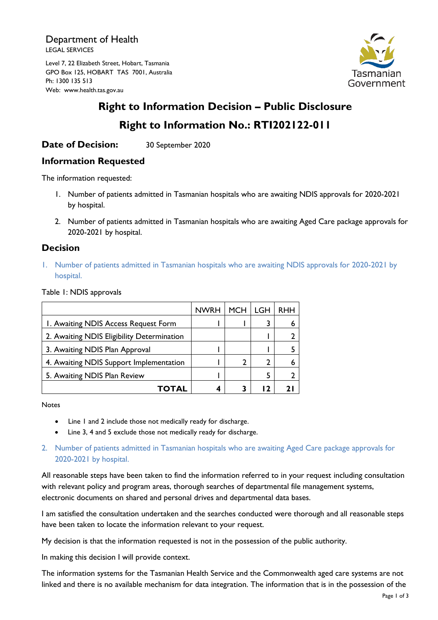Department of Health LEGAL SERVICES

Level 7, 22 Elizabeth Street, Hobart, Tasmania GPO Box 125, HOBART TAS 7001, Australia Ph: 1300 135 513 Web: www.health.tas.gov.au



# **Right to Information Decision – Public Disclosure Right to Information No.: RTI202122-011**

## **Date of Decision:** 30 September 2020

### **Information Requested**

The information requested:

- 1. Number of patients admitted in Tasmanian hospitals who are awaiting NDIS approvals for 2020-2021 by hospital.
- 2. Number of patients admitted in Tasmanian hospitals who are awaiting Aged Care package approvals for 2020-2021 by hospital.

### **Decision**

1. Number of patients admitted in Tasmanian hospitals who are awaiting NDIS approvals for 2020-2021 by hospital.

Table 1: NDIS approvals

|                                            | <b>NWRH</b> | <b>MCH</b> | I GH | <b>RHH</b> |
|--------------------------------------------|-------------|------------|------|------------|
| I. Awaiting NDIS Access Request Form       |             |            |      |            |
| 2. Awaiting NDIS Eligibility Determination |             |            |      |            |
| 3. Awaiting NDIS Plan Approval             |             |            |      |            |
| 4. Awaiting NDIS Support Implementation    |             |            | 2    |            |
| 5. Awaiting NDIS Plan Review               |             |            |      |            |
| TOTAL                                      |             |            | - 7  |            |

**Notes** 

- Line 1 and 2 include those not medically ready for discharge.
- Line 3, 4 and 5 exclude those not medically ready for discharge.
- 2. Number of patients admitted in Tasmanian hospitals who are awaiting Aged Care package approvals for 2020-2021 by hospital.

All reasonable steps have been taken to find the information referred to in your request including consultation with relevant policy and program areas, thorough searches of departmental file management systems, electronic documents on shared and personal drives and departmental data bases.

I am satisfied the consultation undertaken and the searches conducted were thorough and all reasonable steps have been taken to locate the information relevant to your request.

My decision is that the information requested is not in the possession of the public authority.

In making this decision I will provide context.

The information systems for the Tasmanian Health Service and the Commonwealth aged care systems are not linked and there is no available mechanism for data integration. The information that is in the possession of the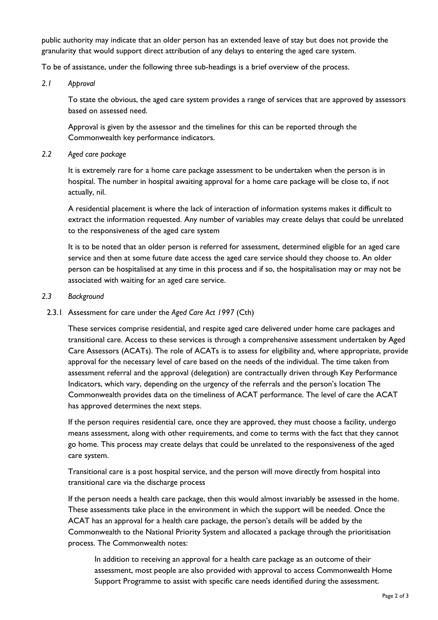public authority may indicate that an older person has an extended leave of stay but does not provide the granularity that would support direct attribution of any delays to entering the aged care system.

To be of assistance, under the following three sub-headings is a brief overview of the process.

*2.1 Approval*

To state the obvious, the aged care system provides a range of services that are approved by assessors based on assessed need.

Approval is given by the assessor and the timelines for this can be reported through the Commonwealth key performance indicators.

*2.2 Aged care package* 

It is extremely rare for a home care package assessment to be undertaken when the person is in hospital. The number in hospital awaiting approval for a home care package will be close to, if not actually, nil.

A residential placement is where the lack of interaction of information systems makes it difficult to extract the information requested. Any number of variables may create delays that could be unrelated to the responsiveness of the aged care system

It is to be noted that an older person is referred for assessment, determined eligible for an aged care service and then at some future date access the aged care service should they choose to. An older person can be hospitalised at any time in this process and if so, the hospitalisation may or may not be associated with waiting for an aged care service.

#### *2.3 Background*

2.3.1 Assessment for care under the *Aged Care Act 1997* (Cth)

These services comprise residential, and respite aged care delivered under home care packages and transitional care. Access to these services is through a comprehensive assessment undertaken by Aged Care Assessors (ACATs). The role of ACATs is to assess for eligibility and, where appropriate, provide approval for the necessary level of care based on the needs of the individual. The time taken from assessment referral and the approval (delegation) are contractually driven through Key Performance Indicators, which vary, depending on the urgency of the referrals and the person's location The Commonwealth provides data on the timeliness of ACAT performance. The level of care the ACAT has approved determines the next steps.

If the person requires residential care, once they are approved, they must choose a facility, undergo means assessment, along with other requirements, and come to terms with the fact that they cannot go home. This process may create delays that could be unrelated to the responsiveness of the aged care system.

Transitional care is a post hospital service, and the person will move directly from hospital into transitional care via the discharge process

If the person needs a health care package, then this would almost invariably be assessed in the home. These assessments take place in the environment in which the support will be needed. Once the ACAT has an approval for a health care package, the person's details will be added by the Commonwealth to the National Priority System and allocated a package through the prioritisation process. The Commonwealth notes:

In addition to receiving an approval for a health care package as an outcome of their assessment, most people are also provided with approval to access Commonwealth Home Support Programme to assist with specific care needs identified during the assessment.